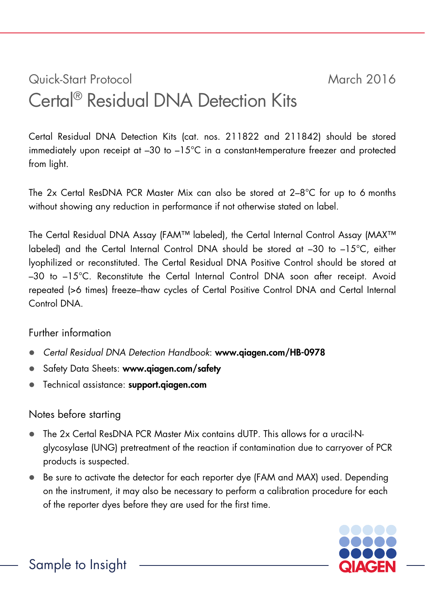# Quick-Start Protocol March 2016 Certal® Residual DNA Detection Kits

Certal Residual DNA Detection Kits (cat. nos. 211822 and 211842) should be stored immediately upon receipt at  $-30$  to  $-15^{\circ}$ C in a constant-temperature freezer and protected from light.

The 2x Certal ResDNA PCR Master Mix can also be stored at 2–8°C for up to 6 months without showing any reduction in performance if not otherwise stated on label.

The Certal Residual DNA Assay (FAM™ labeled), the Certal Internal Control Assay (MAX™ labeled) and the Certal Internal Control DNA should be stored at –30 to –15°C, either lyophilized or reconstituted. The Certal Residual DNA Positive Control should be stored at –30 to –15°C. Reconstitute the Certal Internal Control DNA soon after receipt. Avoid repeated (>6 times) freeze–thaw cycles of Certal Positive Control DNA and Certal Internal Control DNA.

Further information

- *Certal Residual DNA Detection Handbook*: www.qiagen.com/HB-0978
- Safety Data Sheets: www.aiagen.com/safety
- **•** Technical assistance: support.qiagen.com

## Notes before starting

- The 2x Certal ResDNA PCR Master Mix contains dUTP. This allows for a uracil-Nglycosylase (UNG) pretreatment of the reaction if contamination due to carryover of PCR products is suspected.
- Be sure to activate the detector for each reporter dye (FAM and MAX) used. Depending on the instrument, it may also be necessary to perform a calibration procedure for each of the reporter dyes before they are used for the first time.

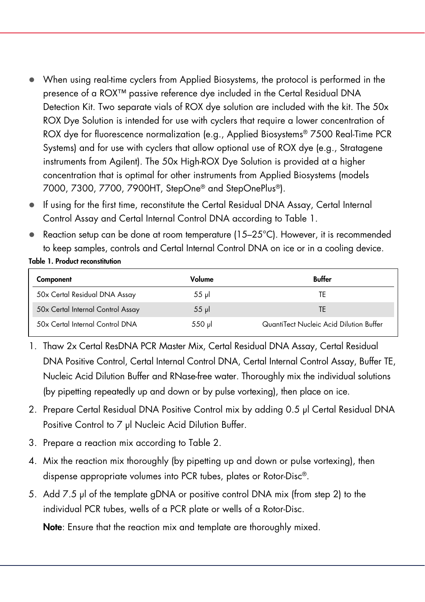- When using real-time cyclers from Applied Biosystems, the protocol is performed in the presence of a ROX<sup>™</sup> passive reference dye included in the Certal Residual DNA Detection Kit. Two separate vials of ROX dye solution are included with the kit. The 50x ROX Dye Solution is intended for use with cyclers that require a lower concentration of ROX dye for fluorescence normalization (e.g., Applied Biosystems® 7500 Real-Time PCR Systems) and for use with cyclers that allow optional use of ROX dye (e.g., Stratagene instruments from Agilent). The 50x High-ROX Dye Solution is provided at a higher concentration that is optimal for other instruments from Applied Biosystems (models 7000, 7300, 7700, 7900HT, StepOne® and StepOnePlus®).
- If using for the first time, reconstitute the Certal Residual DNA Assay, Certal Internal Control Assay and Certal Internal Control DNA according to Table 1.
- Reaction setup can be done at room temperature (15–25°C). However, it is recommended to keep samples, controls and Certal Internal Control DNA on ice or in a cooling device.

## Table 1. Product reconstitution

| Component                         | Volume          | Buffer                                  |
|-----------------------------------|-----------------|-----------------------------------------|
| 50x Certal Residual DNA Assay     | $55$ pl         | TF                                      |
| 50x Certal Internal Control Assay | $55 \text{ pl}$ | TF                                      |
| 50x Certal Internal Control DNA   | $550$ $\mu$     | QuantiTect Nucleic Acid Dilution Buffer |

- 1. Thaw 2x Certal ResDNA PCR Master Mix, Certal Residual DNA Assay, Certal Residual DNA Positive Control, Certal Internal Control DNA, Certal Internal Control Assay, Buffer TE, Nucleic Acid Dilution Buffer and RNase-free water. Thoroughly mix the individual solutions (by pipetting repeatedly up and down or by pulse vortexing), then place on ice.
- 2. Prepare Certal Residual DNA Positive Control mix by adding 0.5 µl Certal Residual DNA Positive Control to 7 µl Nucleic Acid Dilution Buffer.
- 3. Prepare a reaction mix according to Table 2.
- 4. Mix the reaction mix thoroughly (by pipetting up and down or pulse vortexing), then dispense appropriate volumes into PCR tubes, plates or Rotor-Disc®.
- 5. Add 7.5 µl of the template gDNA or positive control DNA mix (from step 2) to the individual PCR tubes, wells of a PCR plate or wells of a Rotor-Disc.

Note: Ensure that the reaction mix and template are thoroughly mixed.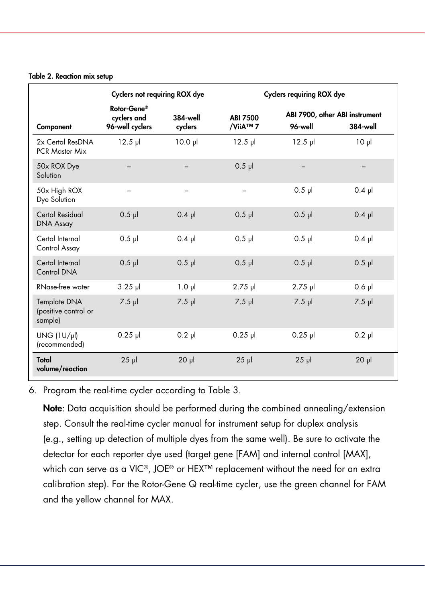### Table 2. Reaction mix setup

|                                                 | <b>Cyclers not requiring ROX dye</b>          |                            | <b>Cyclers requiring ROX dye</b> |                                           |                 |
|-------------------------------------------------|-----------------------------------------------|----------------------------|----------------------------------|-------------------------------------------|-----------------|
| Component                                       | Rotor-Gene®<br>cyclers and<br>96-well cyclers | <b>384-well</b><br>cyclers | <b>ABI 7500</b><br>/ViiA™ 7      | ABI 7900, other ABI instrument<br>96-well | <b>384-well</b> |
| 2x Certal ResDNA<br><b>PCR Master Mix</b>       | $12.5$ pl                                     | $10.0 \text{ pl}$          | $12.5$ pl                        | $12.5$ pl                                 | 10 <sub>µ</sub> |
| 50x ROX Dye<br>Solution                         |                                               |                            | $0.5$ pl                         |                                           |                 |
| 50x High ROX<br>Dye Solution                    |                                               |                            |                                  | $0.5$ pl                                  | $0.4$ pl        |
| <b>Certal Residual</b><br><b>DNA Assay</b>      | $0.5$ $\mu$                                   | $0.4$ pl                   | $0.5$ pl                         | $0.5$ pl                                  | $0.4$ pl        |
| Certal Internal<br>Control Assay                | $0.5$ pl                                      | $0.4$ pl                   | $0.5$ pl                         | $0.5$ pl                                  | $0.4$ pl        |
| Certal Internal<br>Control DNA                  | $0.5$ pl                                      | $0.5$ pl                   | $0.5$ pl                         | $0.5$ pl                                  | $0.5$ $\mu$     |
| RNase-free water                                | $3.25$ pl                                     | $1.0 \mu$                  | $2.75$ pl                        | $2.75$ pl                                 | $0.6$ pl        |
| Template DNA<br>(positive control or<br>sample) | $7.5$ $\mu$                                   | $7.5$ pl                   | $7.5$ $\mu$                      | $7.5$ $\mu$                               | $7.5$ $\mu$     |
| $UNG (1 U / \mu)$<br>(recommended)              | $0.25$ pl                                     | $0.2$ pl                   | $0.25$ pl                        | $0.25$ pl                                 | $0.2$ pl        |
| Total<br>volume/reaction                        | $25$ $\mu$                                    | $20$ $\mu$                 | $25$ $\mu$                       | $25$ $\mu$                                | $20$ $\mu$      |

6. Program the real-time cycler according to Table 3.

Note: Data acquisition should be performed during the combined annealing/extension step. Consult the real-time cycler manual for instrument setup for duplex analysis (e.g., setting up detection of multiple dyes from the same well). Be sure to activate the detector for each reporter dye used (target gene [FAM] and internal control [MAX], which can serve as a VIC®, JOE® or HEX<sup>™</sup> replacement without the need for an extra calibration step). For the Rotor-Gene Q real-time cycler, use the green channel for FAM and the yellow channel for MAX.